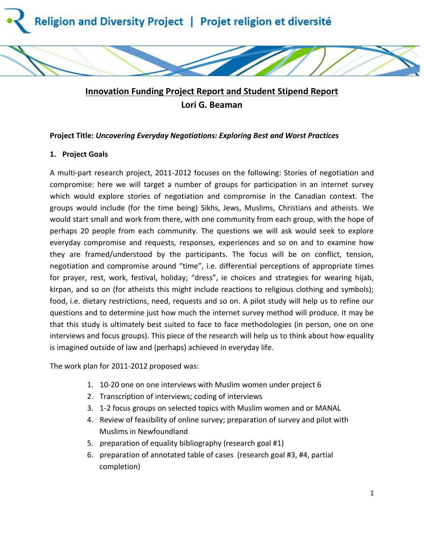

# **Innovation Funding Project Report and Student Stipend Report Lori G. Beaman**

### **Project Title:** *Uncovering Everyday Negotiations: Exploring Best and Worst Practices*

## **1. Project Goals**

A multi-part research project, 2011-2012 focuses on the following: Stories of negotiation and compromise: here we will target a number of groups for participation in an internet survey which would explore stories of negotiation and compromise in the Canadian context. The groups would include (for the time being) Sikhs, Jews, Muslims, Christians and atheists. We would start small and work from there, with one community from each group, with the hope of perhaps 20 people from each community. The questions we will ask would seek to explore everyday compromise and requests, responses, experiences and so on and to examine how they are framed/understood by the participants. The focus will be on conflict, tension, negotiation and compromise around "time", i.e. differential perceptions of appropriate times for prayer, rest, work, festival, holiday; "dress", ie choices and strategies for wearing hijab, kirpan, and so on (for atheists this might include reactions to religious clothing and symbols); food, i.e. dietary restrictions, need, requests and so on. A pilot study will help us to refine our questions and to determine just how much the internet survey method will produce. It may be that this study is ultimately best suited to face to face methodologies (in person, one on one interviews and focus groups). This piece of the research will help us to think about how equality is imagined outside of law and (perhaps) achieved in everyday life.

The work plan for 2011-2012 proposed was:

- 1. 10-20 one on one interviews with Muslim women under project 6
- 2. Transcription of interviews; coding of interviews
- 3. 1-2 focus groups on selected topics with Muslim women and or MANAL
- 4. Review of feasibility of online survey; preparation of survey and pilot with Muslims in Newfoundland
- 5. preparation of equality bibliography (research goal #1)
- 6. preparation of annotated table of cases (research goal #3, #4, partial completion)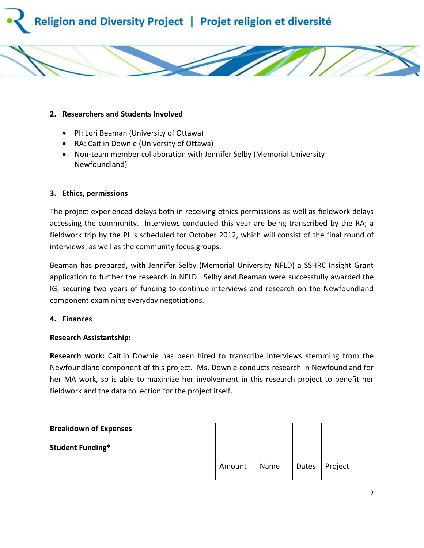



- PI: Lori Beaman (University of Ottawa)
- RA: Caitlin Downie (University of Ottawa)
- Non-team member collaboration with Jennifer Selby (Memorial University Newfoundland)

#### **3. Ethics, permissions**

The project experienced delays both in receiving ethics permissions as well as fieldwork delays accessing the community. Interviews conducted this year are being transcribed by the RA; a fieldwork trip by the PI is scheduled for October 2012, which will consist of the final round of interviews, as well as the community focus groups.

Beaman has prepared, with Jennifer Selby (Memorial University NFLD) a SSHRC Insight Grant application to further the research in NFLD. Selby and Beaman were successfully awarded the IG, securing two years of funding to continue interviews and research on the Newfoundland component examining everyday negotiations.

#### **4. Finances**

#### **Research Assistantship:**

**Research work:** Caitlin Downie has been hired to transcribe interviews stemming from the Newfoundland component of this project. Ms. Downie conducts research in Newfoundland for her MA work, so is able to maximize her involvement in this research project to benefit her fieldwork and the data collection for the project itself.

| <b>Breakdown of Expenses</b> |        |      |       |         |
|------------------------------|--------|------|-------|---------|
| <b>Student Funding*</b>      |        |      |       |         |
|                              | Amount | Name | Dates | Project |